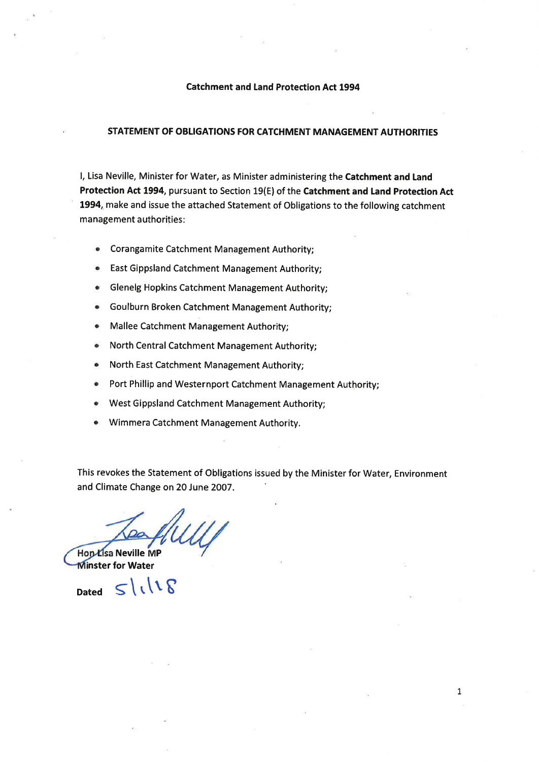#### Catchment and Land Protection Act 1994

### STATEMENT OF OBLIGATIONS FOR CATCHMENT MANAGEMENT AUTHORTTIES

l, Lisa Neville, Minister for Water, as Minister administering the Catchment and Land Protection Act 1994, pursuant to Section 19(E) of the Catchment and Land Protection Act 1994, make and issue the attached Statement of Obligations to the following catchment management authorities :

- **•** Corangamite Catchment Management Authority;
- o East Gippsland Catchment Management Authority;
- o Glenelg Hopkins Catchment Management Authority;
- o Goulburn Broken Catchment Management Authority;
- o Mallee Catchment Management Authority;
- North Central Catchment Management Authority;
- o North East Catchment Management Authority;
- o Port Phillip and Westernport Catchment Management Authority;
- o West Gippsland Catchment Management Authority;
- o Wimmera Catchment Management Authority.

This revokes the Statement of Obligations issued by the Minister for Water, Environment and Climate Change on 20 June 2007.

Hon Lisa Neville MP

**Minster for Water** 

Dated  $S\backslash\cup S$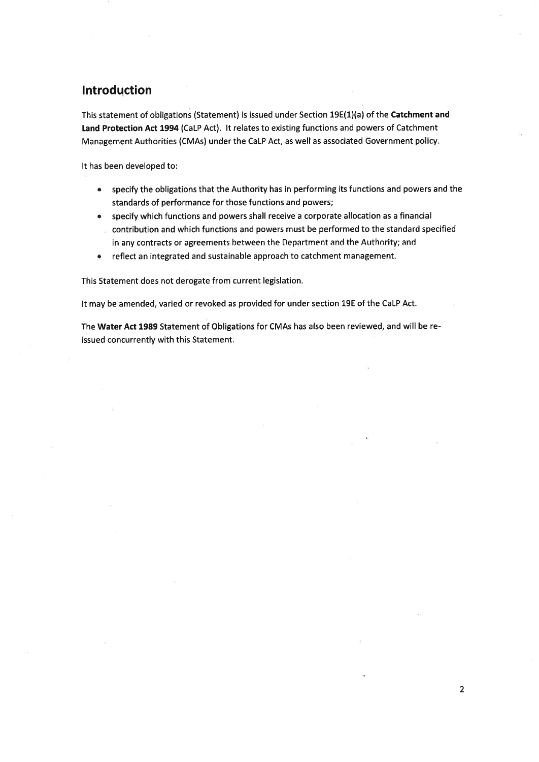## lntroduction

This statement of obligations (Statement) is issued under Section 19E(1)(a) of the Catchment and Land Protection Act 1994 (CaLP Act). It relates to existing functions and powers of Catchment Management Authorities (CMAs) under the CaLP Act, as well as associated Government policy.

It has been developed to:

- $\bullet$  specify the obligations that the Authority has in performing its functions and powers and the standards of performance for those functions and powers;
- $\bullet$  specify which functions and powers shall receive a corporate allocation as a financia
- contribution and whích functions and powers must be performed to the standard specified in any contracts or agreements between the Department and the Authority; and
- reflect an integrated and sustainable approach to catchment management. a

This Statement does not derogate from current legislation.

It may be amended, varied or revoked as provided for under section 19E of the CaLP Act.

The Water Act 1989 Statement of Obligations for CMAs has also been reviewed, and will be reissued concurrently with this Statement.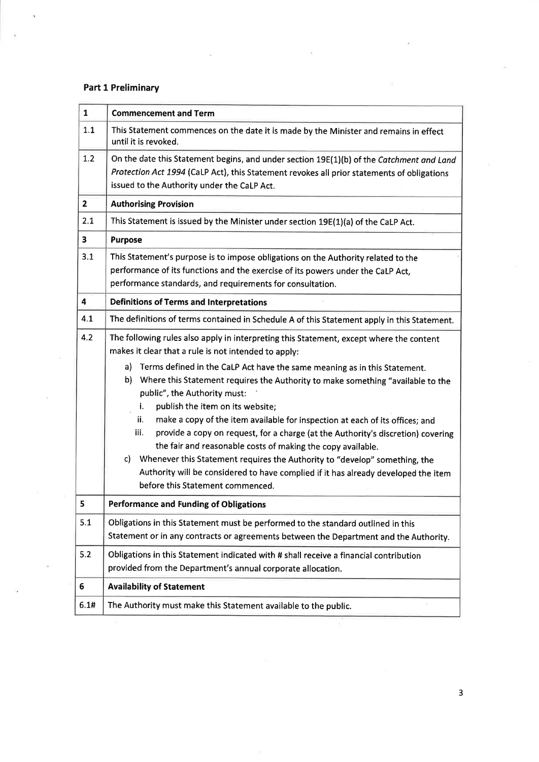## Part 1 Preliminary

| $\mathbf{1}$ | <b>Commencement and Term</b>                                                                                                                                                                                                                                                                                                                                                                                                                                                                                                                                                                                                                                                                                 |  |
|--------------|--------------------------------------------------------------------------------------------------------------------------------------------------------------------------------------------------------------------------------------------------------------------------------------------------------------------------------------------------------------------------------------------------------------------------------------------------------------------------------------------------------------------------------------------------------------------------------------------------------------------------------------------------------------------------------------------------------------|--|
| 1.1          | This Statement commences on the date it is made by the Minister and remains in effect<br>until it is revoked.                                                                                                                                                                                                                                                                                                                                                                                                                                                                                                                                                                                                |  |
| 1.2          | On the date this Statement begins, and under section 19E(1)(b) of the Catchment and Land<br>Protection Act 1994 (CaLP Act), this Statement revokes all prior statements of obligations<br>issued to the Authority under the CaLP Act.                                                                                                                                                                                                                                                                                                                                                                                                                                                                        |  |
| $\mathbf{2}$ | <b>Authorising Provision</b>                                                                                                                                                                                                                                                                                                                                                                                                                                                                                                                                                                                                                                                                                 |  |
| 2.1          | This Statement is issued by the Minister under section 19E(1)(a) of the CaLP Act.                                                                                                                                                                                                                                                                                                                                                                                                                                                                                                                                                                                                                            |  |
| 3            | <b>Purpose</b>                                                                                                                                                                                                                                                                                                                                                                                                                                                                                                                                                                                                                                                                                               |  |
| 3.1          | This Statement's purpose is to impose obligations on the Authority related to the<br>performance of its functions and the exercise of its powers under the CaLP Act,<br>performance standards, and requirements for consultation.                                                                                                                                                                                                                                                                                                                                                                                                                                                                            |  |
| 4            | <b>Definitions of Terms and Interpretations</b>                                                                                                                                                                                                                                                                                                                                                                                                                                                                                                                                                                                                                                                              |  |
| 4.1          | The definitions of terms contained in Schedule A of this Statement apply in this Statement.                                                                                                                                                                                                                                                                                                                                                                                                                                                                                                                                                                                                                  |  |
| 4.2          | The following rules also apply in interpreting this Statement, except where the content<br>makes it clear that a rule is not intended to apply:                                                                                                                                                                                                                                                                                                                                                                                                                                                                                                                                                              |  |
|              | a) Terms defined in the CaLP Act have the same meaning as in this Statement.<br>b) Where this Statement requires the Authority to make something "available to the<br>public", the Authority must:<br>publish the item on its website;<br>i.<br>make a copy of the item available for inspection at each of its offices; and<br>ii.<br>iii.<br>provide a copy on request, for a charge (at the Authority's discretion) covering<br>the fair and reasonable costs of making the copy available.<br>C)<br>Whenever this Statement requires the Authority to "develop" something, the<br>Authority will be considered to have complied if it has already developed the item<br>before this Statement commenced. |  |
| 5            | <b>Performance and Funding of Obligations</b>                                                                                                                                                                                                                                                                                                                                                                                                                                                                                                                                                                                                                                                                |  |
| 5.1          | Obligations in this Statement must be performed to the standard outlined in this<br>Statement or in any contracts or agreements between the Department and the Authority.                                                                                                                                                                                                                                                                                                                                                                                                                                                                                                                                    |  |
| 5.2          | Obligations in this Statement indicated with # shall receive a financial contribution<br>provided from the Department's annual corporate allocation.                                                                                                                                                                                                                                                                                                                                                                                                                                                                                                                                                         |  |
| 6            | <b>Availability of Statement</b>                                                                                                                                                                                                                                                                                                                                                                                                                                                                                                                                                                                                                                                                             |  |
| 6.1#         | The Authority must make this Statement available to the public.                                                                                                                                                                                                                                                                                                                                                                                                                                                                                                                                                                                                                                              |  |

3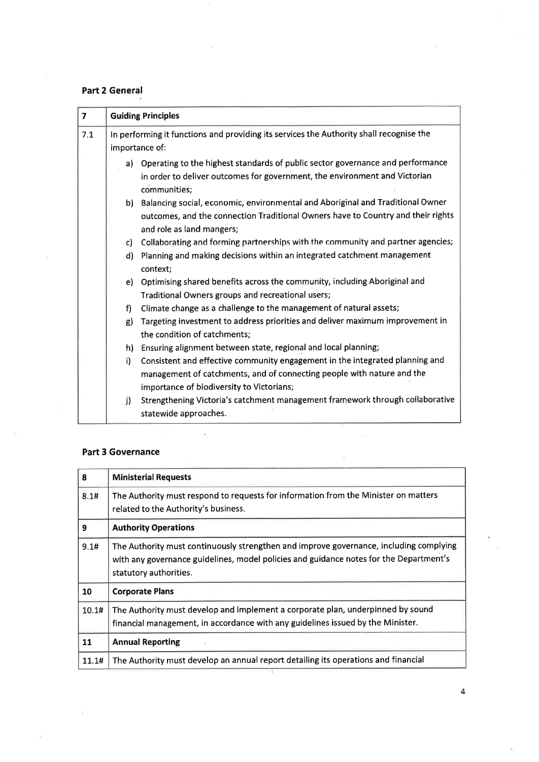## Part 2 General

| $\overline{ }$ | <b>Guiding Principles</b>                                                                                 |                                                                                                                                                                                                     |  |
|----------------|-----------------------------------------------------------------------------------------------------------|-----------------------------------------------------------------------------------------------------------------------------------------------------------------------------------------------------|--|
| 7.1            | In performing it functions and providing its services the Authority shall recognise the<br>importance of: |                                                                                                                                                                                                     |  |
|                | a)                                                                                                        | Operating to the highest standards of public sector governance and performance<br>in order to deliver outcomes for government, the environment and Victorian<br>communities;                        |  |
|                | b)                                                                                                        | Balancing social, economic, environmental and Aboriginal and Traditional Owner<br>outcomes, and the connection Traditional Owners have to Country and their rights<br>and role as land mangers;     |  |
|                | c)                                                                                                        | Collaborating and forming partnerships with the community and partner agencies;                                                                                                                     |  |
|                | d)                                                                                                        | Planning and making decisions within an integrated catchment management<br>context;                                                                                                                 |  |
|                | e) -                                                                                                      | Optimising shared benefits across the community, including Aboriginal and<br>Traditional Owners groups and recreational users;                                                                      |  |
|                | f)                                                                                                        | Climate change as a challenge to the management of natural assets;                                                                                                                                  |  |
|                | g)                                                                                                        | Targeting investment to address priorities and deliver maximum improvement in<br>the condition of catchments;                                                                                       |  |
|                | h)                                                                                                        | Ensuring alignment between state, regional and local planning;                                                                                                                                      |  |
|                | i)                                                                                                        | Consistent and effective community engagement in the integrated planning and<br>management of catchments, and of connecting people with nature and the<br>importance of biodiversity to Victorians; |  |
|                | j)                                                                                                        | Strengthening Victoria's catchment management framework through collaborative<br>statewide approaches.                                                                                              |  |

### Part 3 Governance

| 8     | <b>Ministerial Requests</b>                                                                                                                                                                                |  |
|-------|------------------------------------------------------------------------------------------------------------------------------------------------------------------------------------------------------------|--|
| 8.1#  | The Authority must respond to requests for information from the Minister on matters<br>related to the Authority's business.                                                                                |  |
| 9     | <b>Authority Operations</b>                                                                                                                                                                                |  |
| 9.1#  | The Authority must continuously strengthen and improve governance, including complying<br>with any governance guidelines, model policies and guidance notes for the Department's<br>statutory authorities. |  |
| 10    | <b>Corporate Plans</b>                                                                                                                                                                                     |  |
| 10.1# | The Authority must develop and implement a corporate plan, underpinned by sound<br>financial management, in accordance with any guidelines issued by the Minister.                                         |  |
| 11    | <b>Annual Reporting</b>                                                                                                                                                                                    |  |
| 11.1# | The Authority must develop an annual report detailing its operations and financial                                                                                                                         |  |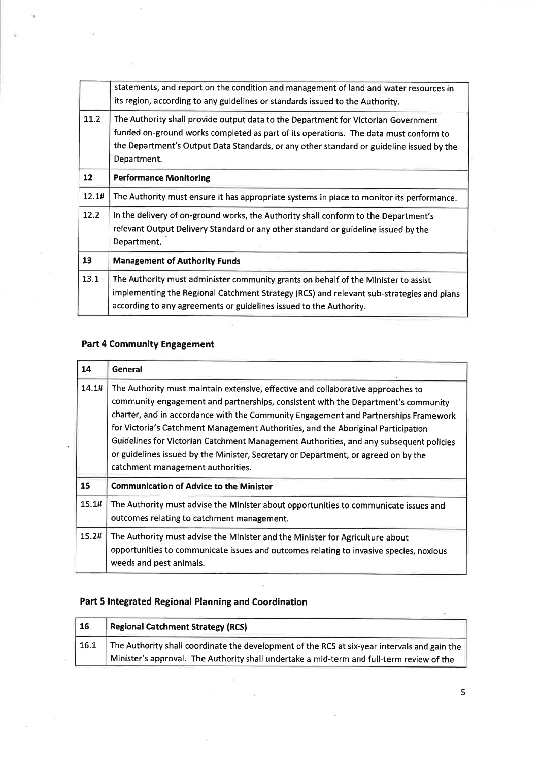|                   | statements, and report on the condition and management of land and water resources in<br>its region, according to any guidelines or standards issued to the Authority.                                                                                                                |
|-------------------|---------------------------------------------------------------------------------------------------------------------------------------------------------------------------------------------------------------------------------------------------------------------------------------|
| 11.2              | The Authority shall provide output data to the Department for Victorian Government<br>funded on-ground works completed as part of its operations. The data must conform to<br>the Department's Output Data Standards, or any other standard or guideline issued by the<br>Department. |
| $12 \overline{ }$ | <b>Performance Monitoring</b>                                                                                                                                                                                                                                                         |
| 12.1#             | The Authority must ensure it has appropriate systems in place to monitor its performance.                                                                                                                                                                                             |
| 12.2              | In the delivery of on-ground works, the Authority shall conform to the Department's<br>relevant Output Delivery Standard or any other standard or guideline issued by the<br>Department.                                                                                              |
| 13                | <b>Management of Authority Funds</b>                                                                                                                                                                                                                                                  |
| 13.1              | The Authority must administer community grants on behalf of the Minister to assist<br>implementing the Regional Catchment Strategy (RCS) and relevant sub-strategies and plans<br>according to any agreements or guidelines issued to the Authority.                                  |

# Part 4 Community Engagement

| 14    | <b>General</b>                                                                                                                                                                                                                                                                                                                                                                                                                                                                                                                                                         |  |
|-------|------------------------------------------------------------------------------------------------------------------------------------------------------------------------------------------------------------------------------------------------------------------------------------------------------------------------------------------------------------------------------------------------------------------------------------------------------------------------------------------------------------------------------------------------------------------------|--|
| 14.1# | The Authority must maintain extensive, effective and collaborative approaches to<br>community engagement and partnerships, consistent with the Department's community<br>charter, and in accordance with the Community Engagement and Partnerships Framework<br>for Victoria's Catchment Management Authorities, and the Aboriginal Participation<br>Guidelines for Victorian Catchment Management Authorities, and any subsequent policies<br>or guidelines issued by the Minister, Secretary or Department, or agreed on by the<br>catchment management authorities. |  |
| 15    | <b>Communication of Advice to the Minister</b>                                                                                                                                                                                                                                                                                                                                                                                                                                                                                                                         |  |
| 15.1# | The Authority must advise the Minister about opportunities to communicate issues and<br>outcomes relating to catchment management.                                                                                                                                                                                                                                                                                                                                                                                                                                     |  |
| 15.2# | The Authority must advise the Minister and the Minister for Agriculture about<br>opportunities to communicate issues and outcomes relating to invasive species, noxious<br>weeds and pest animals.                                                                                                                                                                                                                                                                                                                                                                     |  |

## Part 5 lntegrated Regional Planning and Coordination

| <b>16</b> | <b>Regional Catchment Strategy (RCS)</b>                                                     |
|-----------|----------------------------------------------------------------------------------------------|
| 16.1      | The Authority shall coordinate the development of the RCS at six-year intervals and gain the |
|           | Minister's approval. The Authority shall undertake a mid-term and full-term review of the    |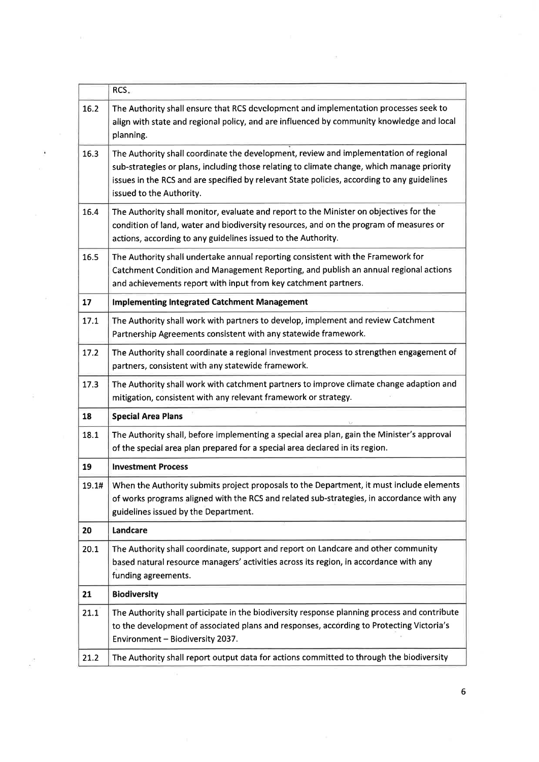|       | RCS.                                                                                                                                                                                                                                                                                                           |  |
|-------|----------------------------------------------------------------------------------------------------------------------------------------------------------------------------------------------------------------------------------------------------------------------------------------------------------------|--|
| 16.2  | The Authority shall ensure that RCS development and implementation processes seek to<br>align with state and regional policy, and are influenced by community knowledge and local<br>planning.                                                                                                                 |  |
| 16.3  | The Authority shall coordinate the development, review and implementation of regional<br>sub-strategies or plans, including those relating to climate change, which manage priority<br>issues in the RCS and are specified by relevant State policies, according to any guidelines<br>issued to the Authority. |  |
| 16.4  | The Authority shall monitor, evaluate and report to the Minister on objectives for the<br>condition of land, water and biodiversity resources, and on the program of measures or<br>actions, according to any guidelines issued to the Authority.                                                              |  |
| 16.5  | The Authority shall undertake annual reporting consistent with the Framework for<br>Catchment Condition and Management Reporting, and publish an annual regional actions<br>and achievements report with input from key catchment partners.                                                                    |  |
| 17    | <b>Implementing Integrated Catchment Management</b>                                                                                                                                                                                                                                                            |  |
| 17.1  | The Authority shall work with partners to develop, implement and review Catchment<br>Partnership Agreements consistent with any statewide framework.                                                                                                                                                           |  |
| 17.2  | The Authority shall coordinate a regional investment process to strengthen engagement of<br>partners, consistent with any statewide framework.                                                                                                                                                                 |  |
| 17.3  | The Authority shall work with catchment partners to improve climate change adaption and<br>mitigation, consistent with any relevant framework or strategy.                                                                                                                                                     |  |
| 18    | <b>Special Area Plans</b>                                                                                                                                                                                                                                                                                      |  |
| 18.1  | The Authority shall, before implementing a special area plan, gain the Minister's approval<br>of the special area plan prepared for a special area declared in its region.                                                                                                                                     |  |
| 19    | <b>Investment Process</b>                                                                                                                                                                                                                                                                                      |  |
| 19.1# | When the Authority submits project proposals to the Department, it must include elements<br>of works programs aligned with the RCS and related sub-strategies, in accordance with any<br>guidelines issued by the Department.                                                                                  |  |
| 20    | Landcare                                                                                                                                                                                                                                                                                                       |  |
| 20.1  | The Authority shall coordinate, support and report on Landcare and other community<br>based natural resource managers' activities across its region, in accordance with any<br>funding agreements.                                                                                                             |  |
| 21    | <b>Biodiversity</b>                                                                                                                                                                                                                                                                                            |  |
| 21.1  | The Authority shall participate in the biodiversity response planning process and contribute<br>to the development of associated plans and responses, according to Protecting Victoria's<br>Environment - Biodiversity 2037.                                                                                   |  |
| 21.2  | The Authority shall report output data for actions committed to through the biodiversity                                                                                                                                                                                                                       |  |

 $\ddot{\phantom{a}}$  $\tilde{\chi}$ 

 $\widetilde{\Xi}$ 

 $\overline{\mathcal{L}}$ 

ā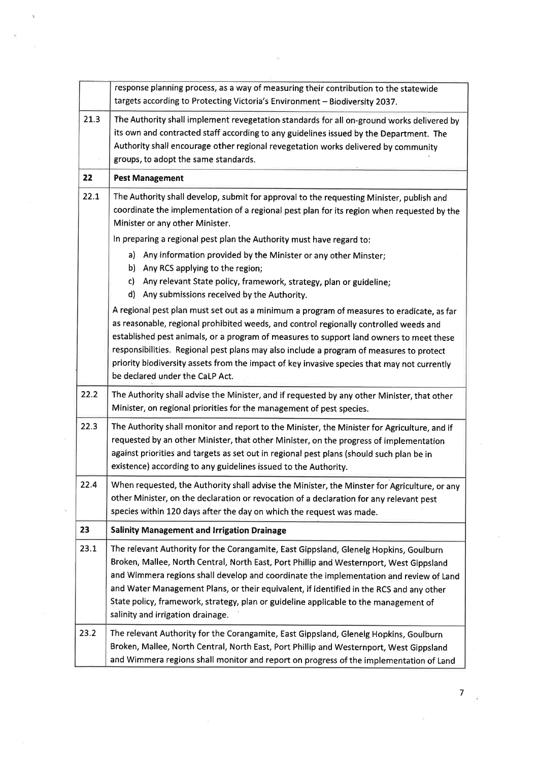|      | response planning process, as a way of measuring their contribution to the statewide<br>targets according to Protecting Victoria's Environment - Biodiversity 2037.                                                                                                                                                                                                                                                                                                                                        |
|------|------------------------------------------------------------------------------------------------------------------------------------------------------------------------------------------------------------------------------------------------------------------------------------------------------------------------------------------------------------------------------------------------------------------------------------------------------------------------------------------------------------|
| 21.3 | The Authority shall implement revegetation standards for all on-ground works delivered by<br>its own and contracted staff according to any guidelines issued by the Department. The<br>Authority shall encourage other regional revegetation works delivered by community<br>groups, to adopt the same standards.                                                                                                                                                                                          |
| 22   | <b>Pest Management</b>                                                                                                                                                                                                                                                                                                                                                                                                                                                                                     |
| 22.1 | The Authority shall develop, submit for approval to the requesting Minister, publish and<br>coordinate the implementation of a regional pest plan for its region when requested by the<br>Minister or any other Minister.                                                                                                                                                                                                                                                                                  |
|      | In preparing a regional pest plan the Authority must have regard to:                                                                                                                                                                                                                                                                                                                                                                                                                                       |
|      | Any information provided by the Minister or any other Minster;<br>a)<br>b)<br>Any RCS applying to the region;<br>Any relevant State policy, framework, strategy, plan or guideline;<br>c)<br>d)<br>Any submissions received by the Authority.                                                                                                                                                                                                                                                              |
|      | A regional pest plan must set out as a minimum a program of measures to eradicate, as far<br>as reasonable, regional prohibited weeds, and control regionally controlled weeds and<br>established pest animals, or a program of measures to support land owners to meet these<br>responsibilities. Regional pest plans may also include a program of measures to protect<br>priority biodiversity assets from the impact of key invasive species that may not currently<br>be declared under the CaLP Act. |
| 22.2 | The Authority shall advise the Minister, and if requested by any other Minister, that other<br>Minister, on regional priorities for the management of pest species.                                                                                                                                                                                                                                                                                                                                        |
| 22.3 | The Authority shall monitor and report to the Minister, the Minister for Agriculture, and if<br>requested by an other Minister, that other Minister, on the progress of implementation<br>against priorities and targets as set out in regional pest plans (should such plan be in<br>existence) according to any guidelines issued to the Authority.                                                                                                                                                      |
| 22.4 | When requested, the Authority shall advise the Minister, the Minster for Agriculture, or any<br>other Minister, on the declaration or revocation of a declaration for any relevant pest<br>species within 120 days after the day on which the request was made.                                                                                                                                                                                                                                            |
| 23   | <b>Salinity Management and Irrigation Drainage</b>                                                                                                                                                                                                                                                                                                                                                                                                                                                         |
| 23.1 | The relevant Authority for the Corangamite, East Gippsland, Glenelg Hopkins, Goulburn<br>Broken, Mallee, North Central, North East, Port Phillip and Westernport, West Gippsland<br>and Wimmera regions shall develop and coordinate the implementation and review of Land<br>and Water Management Plans, or their equivalent, if identified in the RCS and any other<br>State policy, framework, strategy, plan or guideline applicable to the management of<br>salinity and irrigation drainage.         |
| 23.2 | The relevant Authority for the Corangamite, East Gippsland, Glenelg Hopkins, Goulburn<br>Broken, Mallee, North Central, North East, Port Phillip and Westernport, West Gippsland<br>and Wimmera regions shall monitor and report on progress of the implementation of Land                                                                                                                                                                                                                                 |

 $\label{eq:2.1} \mathcal{L}(\mathbf{z})^T,$ 

 $\bar{t}$ 

 $\tilde{\mathbf{z}}$ 

 $\overline{7}$  a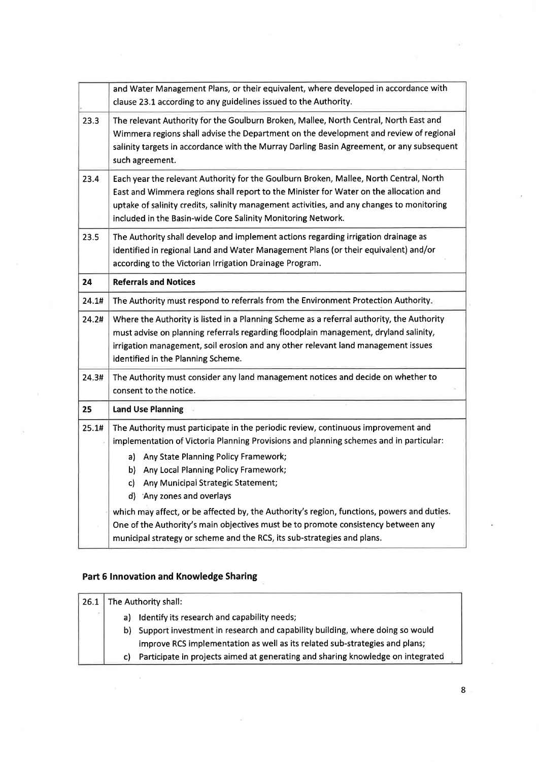|       | and Water Management Plans, or their equivalent, where developed in accordance with<br>clause 23.1 according to any guidelines issued to the Authority.                                                                                                                                                                                                                                                                                   |
|-------|-------------------------------------------------------------------------------------------------------------------------------------------------------------------------------------------------------------------------------------------------------------------------------------------------------------------------------------------------------------------------------------------------------------------------------------------|
| 23.3  | The relevant Authority for the Goulburn Broken, Mallee, North Central, North East and<br>Wimmera regions shall advise the Department on the development and review of regional<br>salinity targets in accordance with the Murray Darling Basin Agreement, or any subsequent<br>such agreement.                                                                                                                                            |
| 23.4  | Each year the relevant Authority for the Goulburn Broken, Mallee, North Central, North<br>East and Wimmera regions shall report to the Minister for Water on the allocation and<br>uptake of salinity credits, salinity management activities, and any changes to monitoring<br>included in the Basin-wide Core Salinity Monitoring Network.                                                                                              |
| 23.5  | The Authority shall develop and implement actions regarding irrigation drainage as<br>identified in regional Land and Water Management Plans (or their equivalent) and/or<br>according to the Victorian Irrigation Drainage Program.                                                                                                                                                                                                      |
| 24    | <b>Referrals and Notices</b>                                                                                                                                                                                                                                                                                                                                                                                                              |
| 24.1# | The Authority must respond to referrals from the Environment Protection Authority.                                                                                                                                                                                                                                                                                                                                                        |
|       |                                                                                                                                                                                                                                                                                                                                                                                                                                           |
| 24.2# | Where the Authority is listed in a Planning Scheme as a referral authority, the Authority<br>must advise on planning referrals regarding floodplain management, dryland salinity,<br>irrigation management, soil erosion and any other relevant land management issues<br>identified in the Planning Scheme.                                                                                                                              |
| 24.3# | The Authority must consider any land management notices and decide on whether to<br>consent to the notice.                                                                                                                                                                                                                                                                                                                                |
| 25    | <b>Land Use Planning</b>                                                                                                                                                                                                                                                                                                                                                                                                                  |
| 25.1# | The Authority must participate in the periodic review, continuous improvement and<br>implementation of Victoria Planning Provisions and planning schemes and in particular:<br>a) Any State Planning Policy Framework;<br>b) Any Local Planning Policy Framework;<br>Any Municipal Strategic Statement;<br>c)<br>d) 'Any zones and overlays<br>which may affect, or be affected by, the Authority's region, functions, powers and duties. |

# Part 6 Innovation and Knowledge Sharing

 $\mathbf{u}$ 

| 26.1 | The Authority shall: |                                                                                 |
|------|----------------------|---------------------------------------------------------------------------------|
|      |                      | a) Identify its research and capability needs;                                  |
|      |                      | b) Support investment in research and capability building, where doing so would |
|      |                      | improve RCS implementation as well as its related sub-strategies and plans;     |
|      | c).                  | Participate in projects aimed at generating and sharing knowledge on integrated |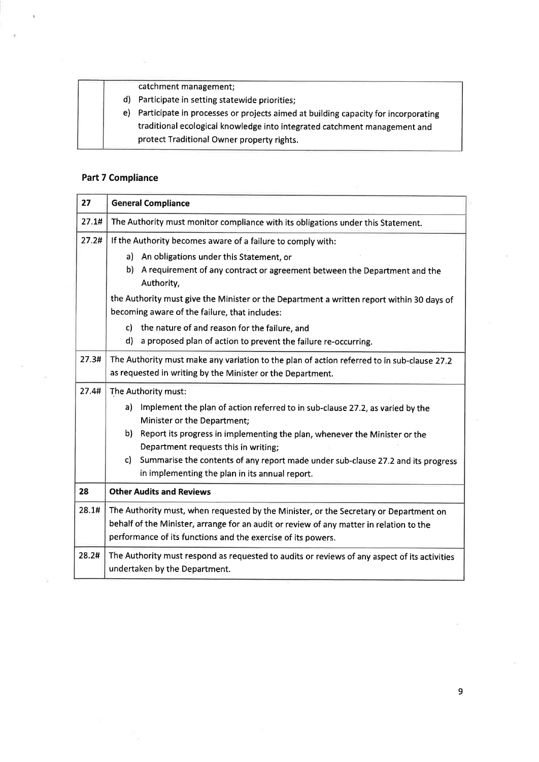|     | catchment management;                                                                                                                                          |
|-----|----------------------------------------------------------------------------------------------------------------------------------------------------------------|
| d). | Participate in setting statewide priorities;                                                                                                                   |
| e). | Participate in processes or projects aimed at building capacity for incorporating<br>traditional ecological knowledge into integrated catchment management and |
|     | protect Traditional Owner property rights.                                                                                                                     |

## Part 7 Compliance

Ñ.

| 27    | <b>General Compliance</b>                                                                                                                                                                                                                                                                                                                                                                                              |  |
|-------|------------------------------------------------------------------------------------------------------------------------------------------------------------------------------------------------------------------------------------------------------------------------------------------------------------------------------------------------------------------------------------------------------------------------|--|
| 27.1# | The Authority must monitor compliance with its obligations under this Statement.                                                                                                                                                                                                                                                                                                                                       |  |
| 27.2# | If the Authority becomes aware of a failure to comply with:<br>a) An obligations under this Statement, or<br>b).<br>A requirement of any contract or agreement between the Department and the<br>Authority,<br>the Authority must give the Minister or the Department a written report within 30 days of<br>becoming aware of the failure, that includes:<br>the nature of and reason for the failure, and<br>c)<br>d) |  |
| 27.3# | a proposed plan of action to prevent the failure re-occurring.<br>The Authority must make any variation to the plan of action referred to in sub-clause 27.2<br>as requested in writing by the Minister or the Department.                                                                                                                                                                                             |  |
| 27.4# | The Authority must:<br>a)<br>Implement the plan of action referred to in sub-clause 27.2, as varied by the<br>Minister or the Department;<br>b)<br>Report its progress in implementing the plan, whenever the Minister or the<br>Department requests this in writing;<br>Summarise the contents of any report made under sub-clause 27.2 and its progress<br>c).<br>in implementing the plan in its annual report.     |  |
| 28    | <b>Other Audits and Reviews</b>                                                                                                                                                                                                                                                                                                                                                                                        |  |
| 28.1# | The Authority must, when requested by the Minister, or the Secretary or Department on<br>behalf of the Minister, arrange for an audit or review of any matter in relation to the<br>performance of its functions and the exercise of its powers.                                                                                                                                                                       |  |
| 28.2# | The Authority must respond as requested to audits or reviews of any aspect of its activities<br>undertaken by the Department.                                                                                                                                                                                                                                                                                          |  |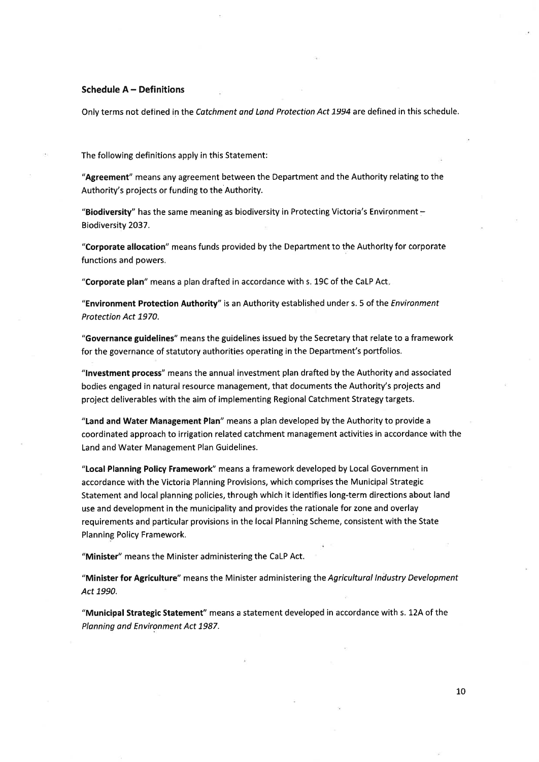### Schedule A - Definitions

Only terms not defined in the Catchment and Land Protection Act 1994 are defined in this schedule.

The following definitions apply in this Statement:

"Agreement" means any agreement between the Department and the Authority relating to the Authority's projects or funding to the Authority.

"Biodiversity" has the same meaning as biodiversity in Protecting Victoria's Environment -Biodiversity 2037.

"Corporate allocation" means funds provided by the Department to the Authority for corporate functions and powers.

"Corporate plan" means a plan drafted in accordance with s. 19C of the CaLP Act

"Environment Protection Authority" is an Authority established under s. 5 of the Environment Protection Act 1970.

"Governance guidelines" means the guidelines issued by the Secretary that relate to a framework for the governance of statutory authorities operating in the Department's portfolios.

"lnvestment process" means the annual investment plan drafted by the Authority and associated bodies engaged in natural resource management, that documents the Authority's projects and project deliverables with the aim of implementing Regional Catchment Strategy targets.

"Land and Water Management Plan" means a plan developed by the Authority to provide <sup>a</sup> coordinated approach to irrigation related catchment management activities in accordance with the Land and Water Management Plan Guidelines.

"Local Planning Policy Framework" means a framework developed by Local Government in accordance with the Victoria Planning Provisions, which comprises the Municipal Strategic Statement and local planning policies, through which it identifies long-term directions about land use and development in the municipality and provides the rationale for zone and overlay requirements and particular provisions in the local Planning Scheme, consistent with the State Planning Policy Framework.

"Minister" means the Minister administering the CaLP Act.

"Minister for Agriculture" means the Minister administering the Agricultural Industry Development Act 1990.

"Municipal Strategic Statement" means a statement developed in accordance with s. 12A of the Planning and Environment Act 1987.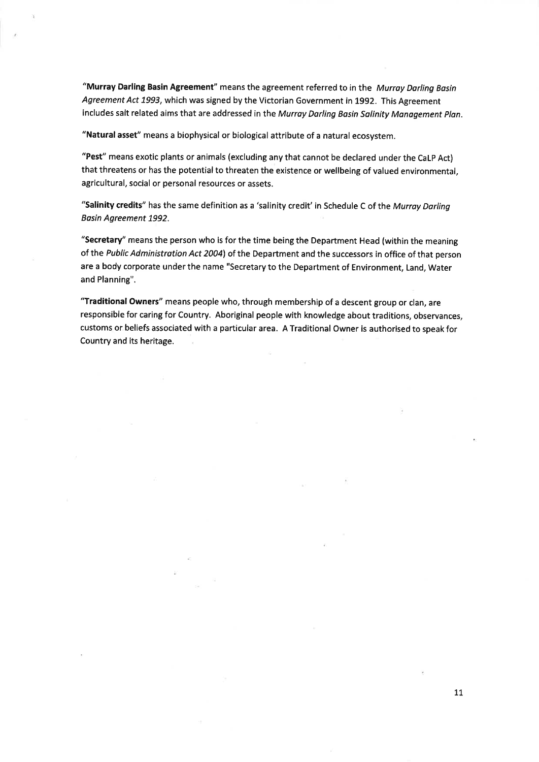"Murray Darling Basin Agreement" means the agreement referred to in the Murray Darling Basin Agreement Act 1993, which was signed by the Victorian Government in 1992. This Agreement includes salt related aims that are addressed in the Murray Darling Basin Salinity Management Plan.

"Natural asset" means a biophysical or biological attríbute of a natural ecosystem.

"Pest" means exotic plants or animals (excluding any that cannot be declared under the CaLP Act) that threatens or has the potential to threaten the existence or wellbeing of valued environmental, agricultural, social or personal resources or assets.

"Salinity credits" has the same definition as a 'salinity credit' in Schedule C of the Murray Darling Basin Agreement 1992.

"Secretary" means the person who is for the time being the Department Head (within the meaning of ihe Public Administration Act 2004) of the Department and the successors in office of that person are a body corporate under the name "Secretary to the Department of Environment, Land, Water and Planning".

"Traditional Owners" means people who, through membership of a descent group or clan, are responsible for caring for Country. Aboriginal people with knowledge about traditions, observances, customs or beliefs associated with a particular area. A Traditional Owner is authorised to speak for Country and its heritage.